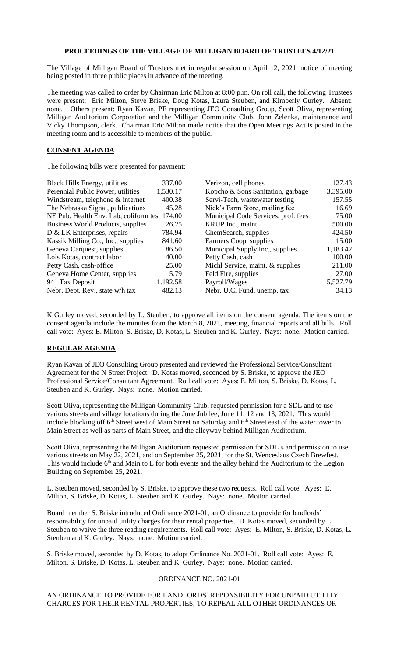# **PROCEEDINGS OF THE VILLAGE OF MILLIGAN BOARD OF TRUSTEES 4/12/21**

The Village of Milligan Board of Trustees met in regular session on April 12, 2021, notice of meeting being posted in three public places in advance of the meeting.

The meeting was called to order by Chairman Eric Milton at 8:00 p.m. On roll call, the following Trustees were present: Eric Milton, Steve Briske, Doug Kotas, Laura Steuben, and Kimberly Gurley. Absent: none. Others present: Ryan Kavan, PE representing JEO Consulting Group, Scott Oliva, representing Milligan Auditorium Corporation and the Milligan Community Club, John Zelenka, maintenance and Vicky Thompson, clerk. Chairman Eric Milton made notice that the Open Meetings Act is posted in the meeting room and is accessible to members of the public.

## **CONSENT AGENDA**

The following bills were presented for payment:

| <b>Black Hills Energy, utilities</b>          | 337.00   | Verizon, cell phones                | 127.43   |
|-----------------------------------------------|----------|-------------------------------------|----------|
| Perennial Public Power, utilities             | 1,530.17 | Kopcho & Sons Sanitation, garbage   | 3,395.00 |
| Windstream, telephone & internet              | 400.38   | Servi-Tech, wastewater testing      | 157.55   |
| The Nebraska Signal, publications             | 45.28    | Nick's Farm Store, mailing fee      | 16.69    |
| NE Pub. Health Env. Lab, coliform test 174.00 |          | Municipal Code Services, prof. fees | 75.00    |
| Business World Products, supplies             | 26.25    | KRUP Inc., maint.                   | 500.00   |
| D & LK Enterprises, repairs                   | 784.94   | ChemSearch, supplies                | 424.50   |
| Kassik Milling Co., Inc., supplies            | 841.60   | Farmers Coop, supplies              | 15.00    |
| Geneva Carquest, supplies                     | 86.50    | Municipal Supply Inc., supplies     | 1,183.42 |
| Lois Kotas, contract labor                    | 40.00    | Petty Cash, cash                    | 100.00   |
| Petty Cash, cash-office                       | 25.00    | Michl Service, maint. & supplies    | 211.00   |
| Geneva Home Center, supplies                  | 5.79     | Feld Fire, supplies                 | 27.00    |
| 941 Tax Deposit                               | 1.192.58 | Payroll/Wages                       | 5,527.79 |
| Nebr. Dept. Rev., state w/h tax               | 482.13   | Nebr. U.C. Fund, unemp. tax         | 34.13    |

K Gurley moved, seconded by L. Steuben, to approve all items on the consent agenda. The items on the consent agenda include the minutes from the March 8, 2021, meeting, financial reports and all bills. Roll call vote: Ayes: E. Milton, S. Briske, D. Kotas, L. Steuben and K. Gurley. Nays: none. Motion carried.

# **REGULAR AGENDA**

Ryan Kavan of JEO Consulting Group presented and reviewed the Professional Service/Consultant Agreement for the N Street Project. D. Kotas moved, seconded by S. Briske, to approve the JEO Professional Service/Consultant Agreement. Roll call vote: Ayes: E. Milton, S. Briske, D. Kotas, L. Steuben and K. Gurley. Nays: none. Motion carried.

Scott Oliva, representing the Milligan Community Club, requested permission for a SDL and to use various streets and village locations during the June Jubilee, June 11, 12 and 13, 2021. This would include blocking off 6<sup>th</sup> Street west of Main Street on Saturday and 6<sup>th</sup> Street east of the water tower to Main Street as well as parts of Main Street, and the alleyway behind Milligan Auditorium.

Scott Oliva, representing the Milligan Auditorium requested permission for SDL's and permission to use various streets on May 22, 2021, and on September 25, 2021, for the St. Wenceslaus Czech Brewfest. This would include  $6<sup>th</sup>$  and Main to L for both events and the alley behind the Auditorium to the Legion Building on September 25, 2021.

L. Steuben moved, seconded by S. Briske, to approve these two requests. Roll call vote: Ayes: E. Milton, S. Briske, D. Kotas, L. Steuben and K. Gurley. Nays: none. Motion carried.

Board member S. Briske introduced Ordinance 2021-01, an Ordinance to provide for landlords' responsibility for unpaid utility charges for their rental properties. D. Kotas moved, seconded by L. Steuben to waive the three reading requirements. Roll call vote: Ayes: E. Milton, S. Briske, D. Kotas, L. Steuben and K. Gurley. Nays: none. Motion carried.

S. Briske moved, seconded by D. Kotas, to adopt Ordinance No. 2021-01. Roll call vote: Ayes: E. Milton, S. Briske, D. Kotas. L. Steuben and K. Gurley. Nays: none. Motion carried.

#### ORDINANCE NO. 2021-01

AN ORDINANCE TO PROVIDE FOR LANDLORDS' REPONSIBILITY FOR UNPAID UTILITY CHARGES FOR THEIR RENTAL PROPERTIES; TO REPEAL ALL OTHER ORDINANCES OR